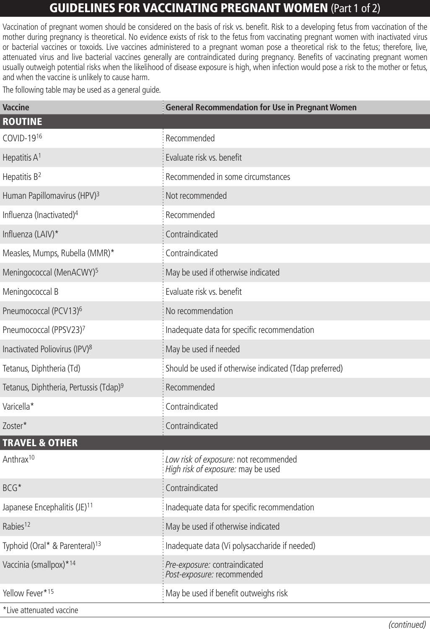## GUIDELINES FOR VACCINATING PREGNANT WOMEN (Part 1 of 2)

Vaccination of pregnant women should be considered on the basis of risk vs. benefit. Risk to a developing fetus from vaccination of the mother during pregnancy is theoretical. No evidence exists of risk to the fetus from vaccinating pregnant women with inactivated virus or bacterial vaccines or toxoids. Live vaccines administered to a pregnant woman pose a theoretical risk to the fetus; therefore, live, attenuated virus and live bacterial vaccines generally are contraindicated during pregnancy. Benefits of vaccinating pregnant women usually outweigh potential risks when the likelihood of disease exposure is high, when infection would pose a risk to the mother or fetus, and when the vaccine is unlikely to cause harm.

The following table may be used as a general guide.

| Vaccine                                            | <b>General Recommendation for Use in Pregnant Women</b>                     |
|----------------------------------------------------|-----------------------------------------------------------------------------|
| <b>ROUTINE</b>                                     |                                                                             |
| COVID-1916                                         | Recommended                                                                 |
| Hepatitis A <sup>1</sup>                           | Evaluate risk vs. benefit                                                   |
| Hepatitis B <sup>2</sup>                           | Recommended in some circumstances                                           |
| Human Papillomavirus (HPV) <sup>3</sup>            | Not recommended                                                             |
| Influenza (Inactivated) <sup>4</sup>               | Recommended                                                                 |
| Influenza (LAIV)*                                  | Contraindicated                                                             |
| Measles, Mumps, Rubella (MMR)*                     | Contraindicated                                                             |
| Meningococcal (MenACWY) <sup>5</sup>               | May be used if otherwise indicated                                          |
| Meningococcal B                                    | Evaluate risk vs. benefit                                                   |
| Pneumococcal (PCV13) <sup>6</sup>                  | No recommendation                                                           |
| Pneumococcal (PPSV23)7                             | Inadequate data for specific recommendation                                 |
| Inactivated Poliovirus (IPV) <sup>8</sup>          | May be used if needed                                                       |
| Tetanus, Diphtheria (Td)                           | Should be used if otherwise indicated (Tdap preferred)                      |
| Tetanus, Diphtheria, Pertussis (Tdap) <sup>9</sup> | Recommended                                                                 |
| Varicella*                                         | Contraindicated                                                             |
| Zoster*                                            | Contraindicated                                                             |
| <b>TRAVEL &amp; OTHER</b>                          |                                                                             |
| Anthrax <sup>10</sup>                              | Low risk of exposure: not recommended<br>High risk of exposure: may be used |
| BCG*                                               | Contraindicated                                                             |
| Japanese Encephalitis (JE) <sup>11</sup>           | Inadequate data for specific recommendation                                 |
| Rabies <sup>12</sup>                               | May be used if otherwise indicated                                          |
| Typhoid (Oral* & Parenteral) <sup>13</sup>         | Inadequate data (Vi polysaccharide if needed)                               |
| Vaccinia (smallpox)*14                             | Pre-exposure: contraindicated<br>Post-exposure: recommended                 |
| Yellow Fever*15                                    | May be used if benefit outweighs risk                                       |
| eqinasy hatarınatta avi l*                         |                                                                             |